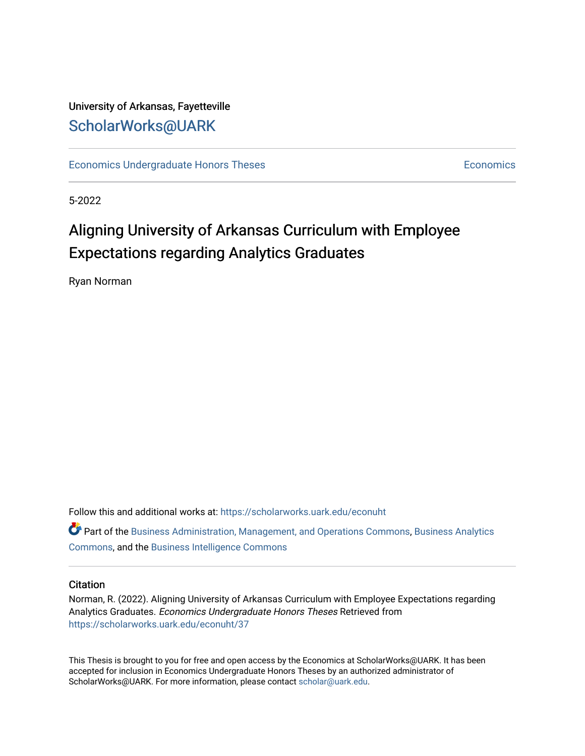# University of Arkansas, Fayetteville [ScholarWorks@UARK](https://scholarworks.uark.edu/)

[Economics Undergraduate Honors Theses](https://scholarworks.uark.edu/econuht) **Economics** [Economics](https://scholarworks.uark.edu/econ) Economics

5-2022

# Aligning University of Arkansas Curriculum with Employee Expectations regarding Analytics Graduates

Ryan Norman

Follow this and additional works at: [https://scholarworks.uark.edu/econuht](https://scholarworks.uark.edu/econuht?utm_source=scholarworks.uark.edu%2Feconuht%2F37&utm_medium=PDF&utm_campaign=PDFCoverPages)

Part of the [Business Administration, Management, and Operations Commons](http://network.bepress.com/hgg/discipline/623?utm_source=scholarworks.uark.edu%2Feconuht%2F37&utm_medium=PDF&utm_campaign=PDFCoverPages), [Business Analytics](http://network.bepress.com/hgg/discipline/1398?utm_source=scholarworks.uark.edu%2Feconuht%2F37&utm_medium=PDF&utm_campaign=PDFCoverPages) [Commons](http://network.bepress.com/hgg/discipline/1398?utm_source=scholarworks.uark.edu%2Feconuht%2F37&utm_medium=PDF&utm_campaign=PDFCoverPages), and the [Business Intelligence Commons](http://network.bepress.com/hgg/discipline/1326?utm_source=scholarworks.uark.edu%2Feconuht%2F37&utm_medium=PDF&utm_campaign=PDFCoverPages) 

#### **Citation**

Norman, R. (2022). Aligning University of Arkansas Curriculum with Employee Expectations regarding Analytics Graduates. Economics Undergraduate Honors Theses Retrieved from [https://scholarworks.uark.edu/econuht/37](https://scholarworks.uark.edu/econuht/37?utm_source=scholarworks.uark.edu%2Feconuht%2F37&utm_medium=PDF&utm_campaign=PDFCoverPages) 

This Thesis is brought to you for free and open access by the Economics at ScholarWorks@UARK. It has been accepted for inclusion in Economics Undergraduate Honors Theses by an authorized administrator of ScholarWorks@UARK. For more information, please contact [scholar@uark.edu](mailto:scholar@uark.edu).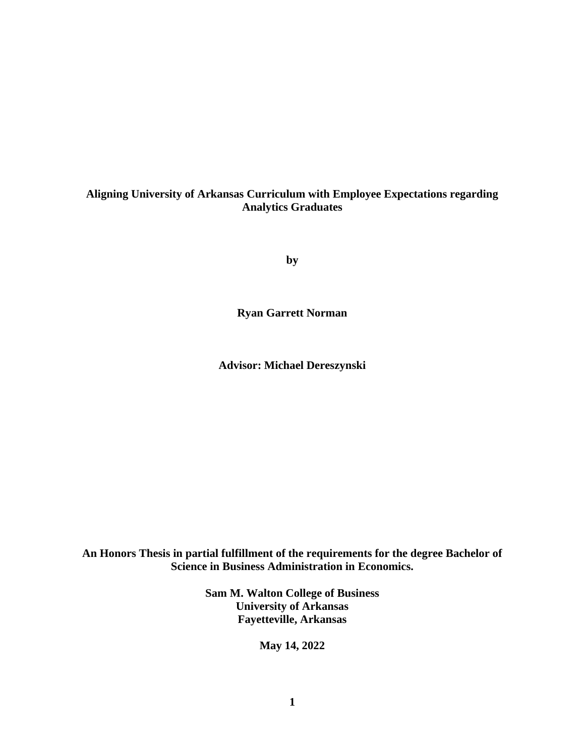#### **Aligning University of Arkansas Curriculum with Employee Expectations regarding Analytics Graduates**

**by**

**Ryan Garrett Norman**

**Advisor: Michael Dereszynski**

**An Honors Thesis in partial fulfillment of the requirements for the degree Bachelor of Science in Business Administration in Economics.**

> **Sam M. Walton College of Business University of Arkansas Fayetteville, Arkansas**

> > **May 14, 2022**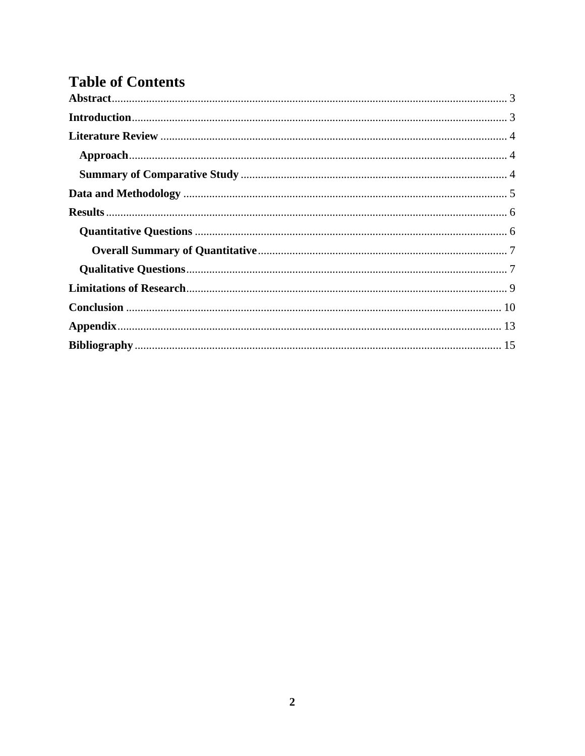# **Table of Contents**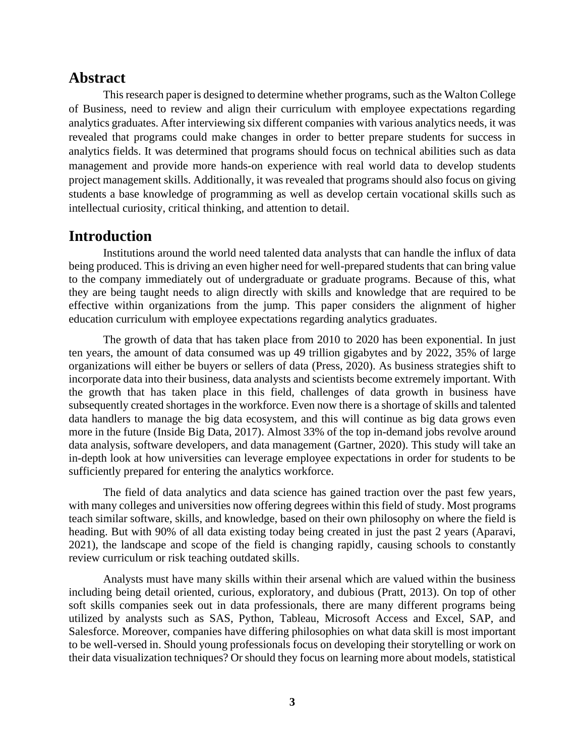## <span id="page-3-0"></span>**Abstract**

This research paper is designed to determine whether programs, such as the Walton College of Business, need to review and align their curriculum with employee expectations regarding analytics graduates. After interviewing six different companies with various analytics needs, it was revealed that programs could make changes in order to better prepare students for success in analytics fields. It was determined that programs should focus on technical abilities such as data management and provide more hands-on experience with real world data to develop students project management skills. Additionally, it was revealed that programs should also focus on giving students a base knowledge of programming as well as develop certain vocational skills such as intellectual curiosity, critical thinking, and attention to detail.

## <span id="page-3-1"></span>**Introduction**

Institutions around the world need talented data analysts that can handle the influx of data being produced. This is driving an even higher need for well-prepared students that can bring value to the company immediately out of undergraduate or graduate programs. Because of this, what they are being taught needs to align directly with skills and knowledge that are required to be effective within organizations from the jump. This paper considers the alignment of higher education curriculum with employee expectations regarding analytics graduates.

The growth of data that has taken place from 2010 to 2020 has been exponential. In just ten years, the amount of data consumed was up 49 trillion gigabytes and by 2022, 35% of large organizations will either be buyers or sellers of data (Press, 2020). As business strategies shift to incorporate data into their business, data analysts and scientists become extremely important. With the growth that has taken place in this field, challenges of data growth in business have subsequently created shortages in the workforce. Even now there is a shortage of skills and talented data handlers to manage the big data ecosystem, and this will continue as big data grows even more in the future (Inside Big Data, 2017). Almost 33% of the top in-demand jobs revolve around data analysis, software developers, and data management (Gartner, 2020). This study will take an in-depth look at how universities can leverage employee expectations in order for students to be sufficiently prepared for entering the analytics workforce.

The field of data analytics and data science has gained traction over the past few years, with many colleges and universities now offering degrees within this field of study. Most programs teach similar software, skills, and knowledge, based on their own philosophy on where the field is heading. But with 90% of all data existing today being created in just the past 2 years (Aparavi, 2021), the landscape and scope of the field is changing rapidly, causing schools to constantly review curriculum or risk teaching outdated skills.

Analysts must have many skills within their arsenal which are valued within the business including being detail oriented, curious, exploratory, and dubious (Pratt, 2013). On top of other soft skills companies seek out in data professionals, there are many different programs being utilized by analysts such as SAS, Python, Tableau, Microsoft Access and Excel, SAP, and Salesforce. Moreover, companies have differing philosophies on what data skill is most important to be well-versed in. Should young professionals focus on developing their storytelling or work on their data visualization techniques? Or should they focus on learning more about models, statistical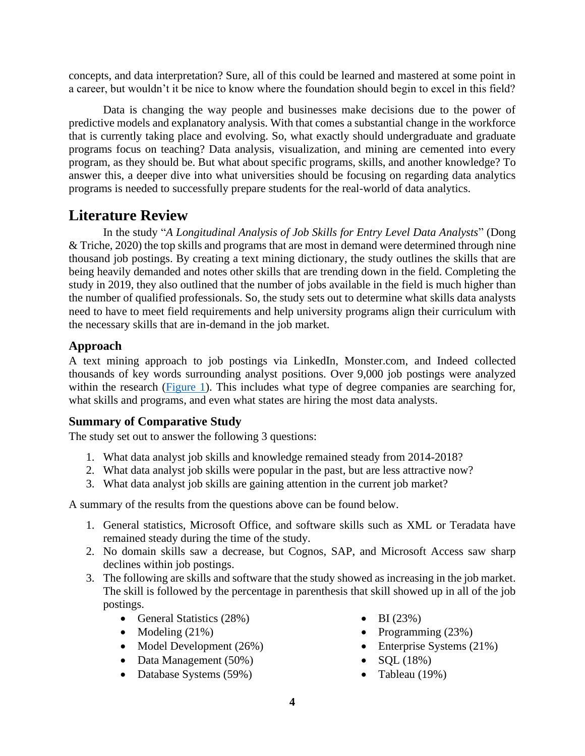concepts, and data interpretation? Sure, all of this could be learned and mastered at some point in a career, but wouldn't it be nice to know where the foundation should begin to excel in this field?

Data is changing the way people and businesses make decisions due to the power of predictive models and explanatory analysis. With that comes a substantial change in the workforce that is currently taking place and evolving. So, what exactly should undergraduate and graduate programs focus on teaching? Data analysis, visualization, and mining are cemented into every program, as they should be. But what about specific programs, skills, and another knowledge? To answer this, a deeper dive into what universities should be focusing on regarding data analytics programs is needed to successfully prepare students for the real-world of data analytics.

# <span id="page-4-0"></span>**Literature Review**

In the study "*A Longitudinal Analysis of Job Skills for Entry Level Data Analysts*" (Dong & Triche, 2020) the top skills and programs that are most in demand were determined through nine thousand job postings. By creating a text mining dictionary, the study outlines the skills that are being heavily demanded and notes other skills that are trending down in the field. Completing the study in 2019, they also outlined that the number of jobs available in the field is much higher than the number of qualified professionals. So, the study sets out to determine what skills data analysts need to have to meet field requirements and help university programs align their curriculum with the necessary skills that are in-demand in the job market.

# <span id="page-4-1"></span>**Approach**

A text mining approach to job postings via LinkedIn, Monster.com, and Indeed collected thousands of key words surrounding analyst positions. Over 9,000 job postings were analyzed within the research [\(Figure 1\)](#page-12-1). This includes what type of degree companies are searching for, what skills and programs, and even what states are hiring the most data analysts.

## <span id="page-4-2"></span>**Summary of Comparative Study**

The study set out to answer the following 3 questions:

- 1. What data analyst job skills and knowledge remained steady from 2014-2018?
- 2. What data analyst job skills were popular in the past, but are less attractive now?
- 3. What data analyst job skills are gaining attention in the current job market?

A summary of the results from the questions above can be found below.

- 1. General statistics, Microsoft Office, and software skills such as XML or Teradata have remained steady during the time of the study.
- 2. No domain skills saw a decrease, but Cognos, SAP, and Microsoft Access saw sharp declines within job postings.
- 3. The following are skills and software that the study showed as increasing in the job market. The skill is followed by the percentage in parenthesis that skill showed up in all of the job postings.
	- General Statistics (28%)
	- Modeling  $(21%)$
	- Model Development (26%)
	- Data Management (50%)
	- Database Systems (59%)
- BI  $(23%)$
- Programming (23%)
- Enterprise Systems (21%)
- $SQL (18%)$
- Tableau  $(19\%)$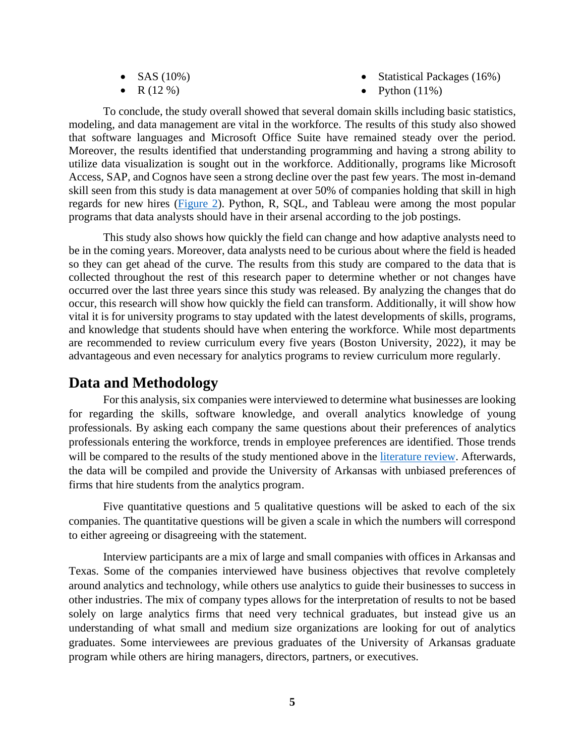- SAS  $(10\%)$
- $R(12\%)$
- Statistical Packages (16%)
- Python  $(11\%)$

To conclude, the study overall showed that several domain skills including basic statistics, modeling, and data management are vital in the workforce. The results of this study also showed that software languages and Microsoft Office Suite have remained steady over the period. Moreover, the results identified that understanding programming and having a strong ability to utilize data visualization is sought out in the workforce. Additionally, programs like Microsoft Access, SAP, and Cognos have seen a strong decline over the past few years. The most in-demand skill seen from this study is data management at over 50% of companies holding that skill in high regards for new hires [\(Figure 2\)](#page-12-1). Python, R, SQL, and Tableau were among the most popular programs that data analysts should have in their arsenal according to the job postings.

This study also shows how quickly the field can change and how adaptive analysts need to be in the coming years. Moreover, data analysts need to be curious about where the field is headed so they can get ahead of the curve. The results from this study are compared to the data that is collected throughout the rest of this research paper to determine whether or not changes have occurred over the last three years since this study was released. By analyzing the changes that do occur, this research will show how quickly the field can transform. Additionally, it will show how vital it is for university programs to stay updated with the latest developments of skills, programs, and knowledge that students should have when entering the workforce. While most departments are recommended to review curriculum every five years (Boston University, 2022), it may be advantageous and even necessary for analytics programs to review curriculum more regularly.

# <span id="page-5-0"></span>**Data and Methodology**

For this analysis, six companies were interviewed to determine what businesses are looking for regarding the skills, software knowledge, and overall analytics knowledge of young professionals. By asking each company the same questions about their preferences of analytics professionals entering the workforce, trends in employee preferences are identified. Those trends will be compared to the results of the study mentioned above in the [literature review.](#page-4-0) Afterwards, the data will be compiled and provide the University of Arkansas with unbiased preferences of firms that hire students from the analytics program.

Five quantitative questions and 5 qualitative questions will be asked to each of the six companies. The quantitative questions will be given a scale in which the numbers will correspond to either agreeing or disagreeing with the statement.

Interview participants are a mix of large and small companies with offices in Arkansas and Texas. Some of the companies interviewed have business objectives that revolve completely around analytics and technology, while others use analytics to guide their businesses to success in other industries. The mix of company types allows for the interpretation of results to not be based solely on large analytics firms that need very technical graduates, but instead give us an understanding of what small and medium size organizations are looking for out of analytics graduates. Some interviewees are previous graduates of the University of Arkansas graduate program while others are hiring managers, directors, partners, or executives.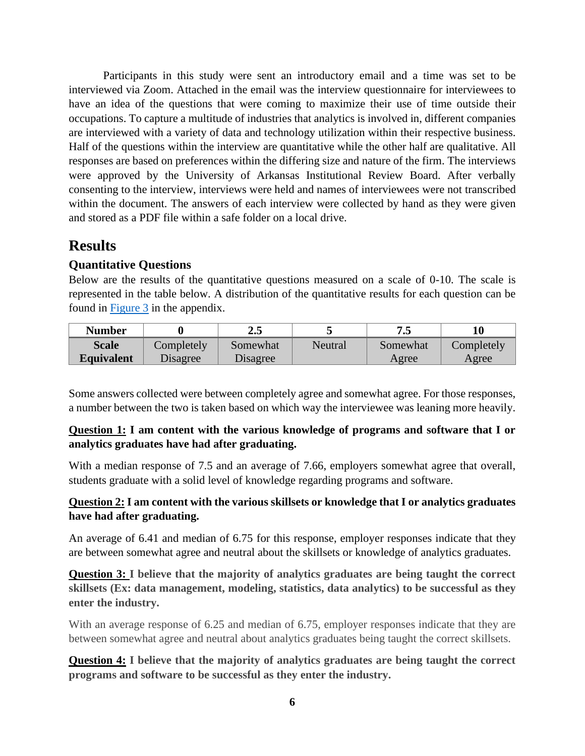Participants in this study were sent an introductory email and a time was set to be interviewed via Zoom. Attached in the email was the interview questionnaire for interviewees to have an idea of the questions that were coming to maximize their use of time outside their occupations. To capture a multitude of industries that analytics is involved in, different companies are interviewed with a variety of data and technology utilization within their respective business. Half of the questions within the interview are quantitative while the other half are qualitative. All responses are based on preferences within the differing size and nature of the firm. The interviews were approved by the University of Arkansas Institutional Review Board. After verbally consenting to the interview, interviews were held and names of interviewees were not transcribed within the document. The answers of each interview were collected by hand as they were given and stored as a PDF file within a safe folder on a local drive.

# <span id="page-6-0"></span>**Results**

### <span id="page-6-1"></span>**Quantitative Questions**

Below are the results of the quantitative questions measured on a scale of 0-10. The scale is represented in the table below. A distribution of the quantitative results for each question can be found in [Figure 3](#page-13-0) in the appendix.

| Number            |            | ∠.ວ      |         | نه ا     |            |
|-------------------|------------|----------|---------|----------|------------|
| <b>Scale</b>      | Completely | Somewhat | Neutral | Somewhat | Completely |
| <b>Equivalent</b> | Disagree   | Disagree |         | Agree    | Agree      |

Some answers collected were between completely agree and somewhat agree. For those responses, a number between the two is taken based on which way the interviewee was leaning more heavily.

### **Question 1: I am content with the various knowledge of programs and software that I or analytics graduates have had after graduating.**

With a median response of 7.5 and an average of 7.66, employers somewhat agree that overall, students graduate with a solid level of knowledge regarding programs and software.

### **Question 2: I am content with the various skillsets or knowledge that I or analytics graduates have had after graduating.**

An average of 6.41 and median of 6.75 for this response, employer responses indicate that they are between somewhat agree and neutral about the skillsets or knowledge of analytics graduates.

**Question 3: I believe that the majority of analytics graduates are being taught the correct skillsets (Ex: data management, modeling, statistics, data analytics) to be successful as they enter the industry.**

With an average response of 6.25 and median of 6.75, employer responses indicate that they are between somewhat agree and neutral about analytics graduates being taught the correct skillsets.

**Question 4: I believe that the majority of analytics graduates are being taught the correct programs and software to be successful as they enter the industry.**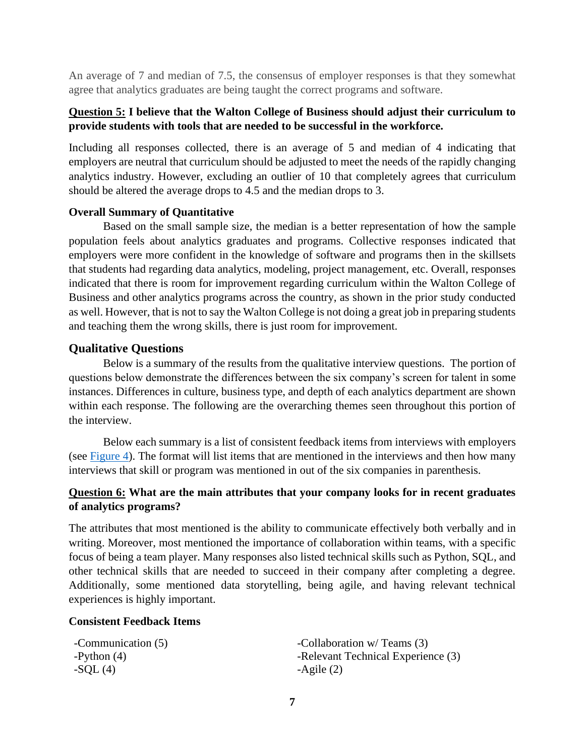An average of 7 and median of 7.5, the consensus of employer responses is that they somewhat agree that analytics graduates are being taught the correct programs and software.

#### **Question 5: I believe that the Walton College of Business should adjust their curriculum to provide students with tools that are needed to be successful in the workforce.**

Including all responses collected, there is an average of 5 and median of 4 indicating that employers are neutral that curriculum should be adjusted to meet the needs of the rapidly changing analytics industry. However, excluding an outlier of 10 that completely agrees that curriculum should be altered the average drops to 4.5 and the median drops to 3.

#### <span id="page-7-0"></span>**Overall Summary of Quantitative**

Based on the small sample size, the median is a better representation of how the sample population feels about analytics graduates and programs. Collective responses indicated that employers were more confident in the knowledge of software and programs then in the skillsets that students had regarding data analytics, modeling, project management, etc. Overall, responses indicated that there is room for improvement regarding curriculum within the Walton College of Business and other analytics programs across the country, as shown in the prior study conducted as well. However, that is not to say the Walton College is not doing a great job in preparing students and teaching them the wrong skills, there is just room for improvement.

#### <span id="page-7-1"></span>**Qualitative Questions**

Below is a summary of the results from the qualitative interview questions. The portion of questions below demonstrate the differences between the six company's screen for talent in some instances. Differences in culture, business type, and depth of each analytics department are shown within each response. The following are the overarching themes seen throughout this portion of the interview.

Below each summary is a list of consistent feedback items from interviews with employers (see [Figure 4\)](#page-13-0). The format will list items that are mentioned in the interviews and then how many interviews that skill or program was mentioned in out of the six companies in parenthesis.

#### **Question 6: What are the main attributes that your company looks for in recent graduates of analytics programs?**

The attributes that most mentioned is the ability to communicate effectively both verbally and in writing. Moreover, most mentioned the importance of collaboration within teams, with a specific focus of being a team player. Many responses also listed technical skills such as Python, SQL, and other technical skills that are needed to succeed in their company after completing a degree. Additionally, some mentioned data storytelling, being agile, and having relevant technical experiences is highly important.

#### **Consistent Feedback Items**

| -Communication (5) | -Collaboration w/ Teams (3)        |
|--------------------|------------------------------------|
| -Python $(4)$      | -Relevant Technical Experience (3) |
| $-SQL(4)$          | $-A$ gile $(2)$                    |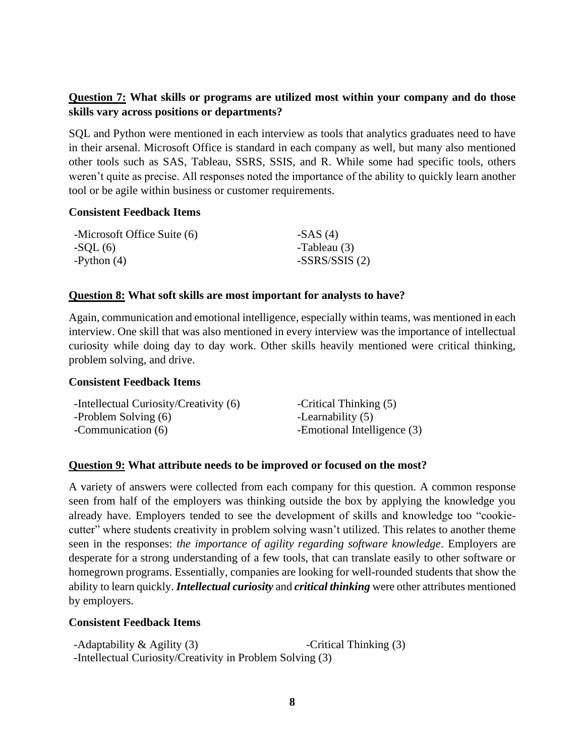#### **Question 7: What skills or programs are utilized most within your company and do those skills vary across positions or departments?**

SQL and Python were mentioned in each interview as tools that analytics graduates need to have in their arsenal. Microsoft Office is standard in each company as well, but many also mentioned other tools such as SAS, Tableau, SSRS, SSIS, and R. While some had specific tools, others weren't quite as precise. All responses noted the importance of the ability to quickly learn another tool or be agile within business or customer requirements.

#### **Consistent Feedback Items**

| -Microsoft Office Suite (6) | $-SAS(4)$       |
|-----------------------------|-----------------|
| $-SQL(6)$                   | -Tableau (3)    |
| $-Python(4)$                | $-SSRS/SSIS(2)$ |

#### **Question 8: What soft skills are most important for analysts to have?**

Again, communication and emotional intelligence, especially within teams, was mentioned in each interview. One skill that was also mentioned in every interview was the importance of intellectual curiosity while doing day to day work. Other skills heavily mentioned were critical thinking, problem solving, and drive.

#### **Consistent Feedback Items**

| -Intellectual Curiosity/Creativity (6) | -Critical Thinking (5)      |
|----------------------------------------|-----------------------------|
| -Problem Solving (6)                   | -Learnability (5)           |
| -Communication (6)                     | -Emotional Intelligence (3) |

#### **Question 9: What attribute needs to be improved or focused on the most?**

A variety of answers were collected from each company for this question. A common response seen from half of the employers was thinking outside the box by applying the knowledge you already have. Employers tended to see the development of skills and knowledge too "cookiecutter" where students creativity in problem solving wasn't utilized. This relates to another theme seen in the responses: *the importance of agility regarding software knowledge*. Employers are desperate for a strong understanding of a few tools, that can translate easily to other software or homegrown programs. Essentially, companies are looking for well-rounded students that show the ability to learn quickly. *Intellectual curiosity* and *critical thinking* were other attributes mentioned by employers.

#### **Consistent Feedback Items**

| -Adaptability $\&$ Agility (3)                            | -Critical Thinking (3) |
|-----------------------------------------------------------|------------------------|
| -Intellectual Curiosity/Creativity in Problem Solving (3) |                        |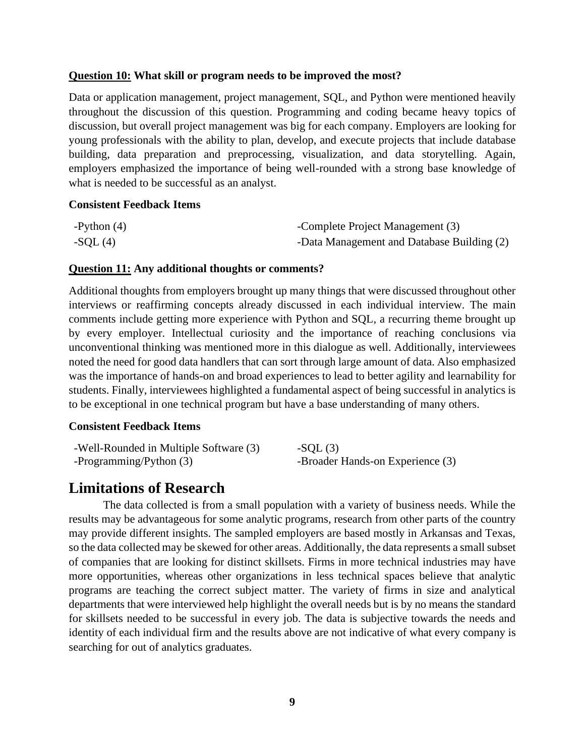#### **Question 10: What skill or program needs to be improved the most?**

Data or application management, project management, SQL, and Python were mentioned heavily throughout the discussion of this question. Programming and coding became heavy topics of discussion, but overall project management was big for each company. Employers are looking for young professionals with the ability to plan, develop, and execute projects that include database building, data preparation and preprocessing, visualization, and data storytelling. Again, employers emphasized the importance of being well-rounded with a strong base knowledge of what is needed to be successful as an analyst.

#### **Consistent Feedback Items**

| -Python $(4)$ | -Complete Project Management (3)           |
|---------------|--------------------------------------------|
| $-SQL(4)$     | -Data Management and Database Building (2) |

#### **Question 11: Any additional thoughts or comments?**

Additional thoughts from employers brought up many things that were discussed throughout other interviews or reaffirming concepts already discussed in each individual interview. The main comments include getting more experience with Python and SQL, a recurring theme brought up by every employer. Intellectual curiosity and the importance of reaching conclusions via unconventional thinking was mentioned more in this dialogue as well. Additionally, interviewees noted the need for good data handlers that can sort through large amount of data. Also emphasized was the importance of hands-on and broad experiences to lead to better agility and learnability for students. Finally, interviewees highlighted a fundamental aspect of being successful in analytics is to be exceptional in one technical program but have a base understanding of many others.

#### **Consistent Feedback Items**

| -Well-Rounded in Multiple Software (3) | $-SOL(3)$                        |
|----------------------------------------|----------------------------------|
| -Programming/Python (3)                | -Broader Hands-on Experience (3) |

# <span id="page-9-0"></span>**Limitations of Research**

The data collected is from a small population with a variety of business needs. While the results may be advantageous for some analytic programs, research from other parts of the country may provide different insights. The sampled employers are based mostly in Arkansas and Texas, so the data collected may be skewed for other areas. Additionally, the data represents a small subset of companies that are looking for distinct skillsets. Firms in more technical industries may have more opportunities, whereas other organizations in less technical spaces believe that analytic programs are teaching the correct subject matter. The variety of firms in size and analytical departments that were interviewed help highlight the overall needs but is by no means the standard for skillsets needed to be successful in every job. The data is subjective towards the needs and identity of each individual firm and the results above are not indicative of what every company is searching for out of analytics graduates.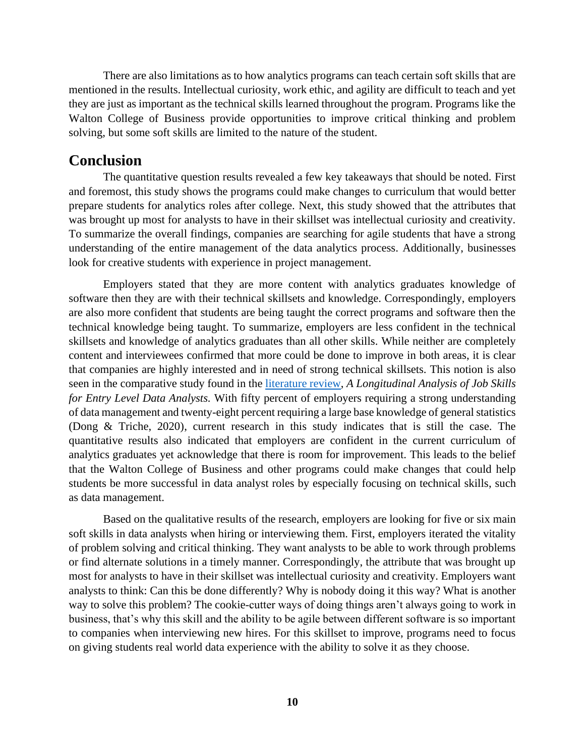There are also limitations as to how analytics programs can teach certain soft skills that are mentioned in the results. Intellectual curiosity, work ethic, and agility are difficult to teach and yet they are just as important as the technical skills learned throughout the program. Programs like the Walton College of Business provide opportunities to improve critical thinking and problem solving, but some soft skills are limited to the nature of the student.

### <span id="page-10-0"></span>**Conclusion**

The quantitative question results revealed a few key takeaways that should be noted. First and foremost, this study shows the programs could make changes to curriculum that would better prepare students for analytics roles after college. Next, this study showed that the attributes that was brought up most for analysts to have in their skillset was intellectual curiosity and creativity. To summarize the overall findings, companies are searching for agile students that have a strong understanding of the entire management of the data analytics process. Additionally, businesses look for creative students with experience in project management.

Employers stated that they are more content with analytics graduates knowledge of software then they are with their technical skillsets and knowledge. Correspondingly, employers are also more confident that students are being taught the correct programs and software then the technical knowledge being taught. To summarize, employers are less confident in the technical skillsets and knowledge of analytics graduates than all other skills. While neither are completely content and interviewees confirmed that more could be done to improve in both areas, it is clear that companies are highly interested and in need of strong technical skillsets. This notion is also seen in the comparative study found in the [literature review,](#page-4-2) *A Longitudinal Analysis of Job Skills for Entry Level Data Analysts.* With fifty percent of employers requiring a strong understanding of data management and twenty-eight percent requiring a large base knowledge of general statistics (Dong & Triche, 2020), current research in this study indicates that is still the case. The quantitative results also indicated that employers are confident in the current curriculum of analytics graduates yet acknowledge that there is room for improvement. This leads to the belief that the Walton College of Business and other programs could make changes that could help students be more successful in data analyst roles by especially focusing on technical skills, such as data management.

Based on the qualitative results of the research, employers are looking for five or six main soft skills in data analysts when hiring or interviewing them. First, employers iterated the vitality of problem solving and critical thinking. They want analysts to be able to work through problems or find alternate solutions in a timely manner. Correspondingly, the attribute that was brought up most for analysts to have in their skillset was intellectual curiosity and creativity. Employers want analysts to think: Can this be done differently? Why is nobody doing it this way? What is another way to solve this problem? The cookie-cutter ways of doing things aren't always going to work in business, that's why this skill and the ability to be agile between different software is so important to companies when interviewing new hires. For this skillset to improve, programs need to focus on giving students real world data experience with the ability to solve it as they choose.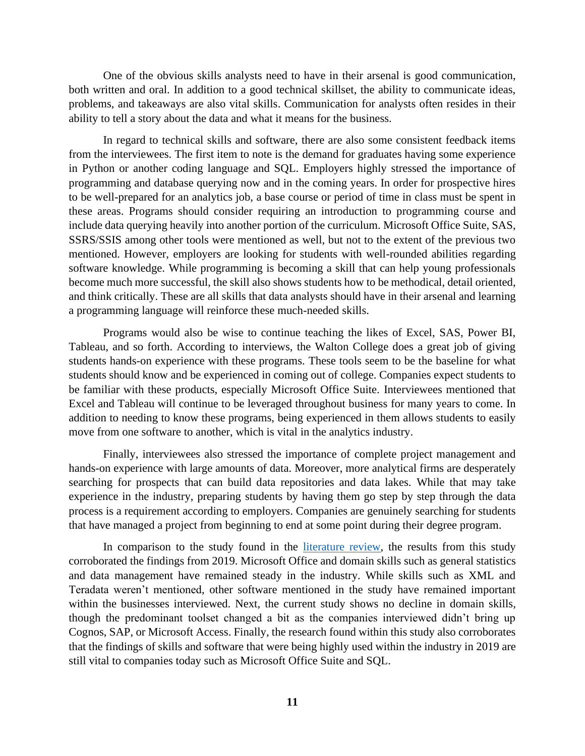One of the obvious skills analysts need to have in their arsenal is good communication, both written and oral. In addition to a good technical skillset, the ability to communicate ideas, problems, and takeaways are also vital skills. Communication for analysts often resides in their ability to tell a story about the data and what it means for the business.

In regard to technical skills and software, there are also some consistent feedback items from the interviewees. The first item to note is the demand for graduates having some experience in Python or another coding language and SQL. Employers highly stressed the importance of programming and database querying now and in the coming years. In order for prospective hires to be well-prepared for an analytics job, a base course or period of time in class must be spent in these areas. Programs should consider requiring an introduction to programming course and include data querying heavily into another portion of the curriculum. Microsoft Office Suite, SAS, SSRS/SSIS among other tools were mentioned as well, but not to the extent of the previous two mentioned. However, employers are looking for students with well-rounded abilities regarding software knowledge. While programming is becoming a skill that can help young professionals become much more successful, the skill also shows students how to be methodical, detail oriented, and think critically. These are all skills that data analysts should have in their arsenal and learning a programming language will reinforce these much-needed skills.

Programs would also be wise to continue teaching the likes of Excel, SAS, Power BI, Tableau, and so forth. According to interviews, the Walton College does a great job of giving students hands-on experience with these programs. These tools seem to be the baseline for what students should know and be experienced in coming out of college. Companies expect students to be familiar with these products, especially Microsoft Office Suite. Interviewees mentioned that Excel and Tableau will continue to be leveraged throughout business for many years to come. In addition to needing to know these programs, being experienced in them allows students to easily move from one software to another, which is vital in the analytics industry.

Finally, interviewees also stressed the importance of complete project management and hands-on experience with large amounts of data. Moreover, more analytical firms are desperately searching for prospects that can build data repositories and data lakes. While that may take experience in the industry, preparing students by having them go step by step through the data process is a requirement according to employers. Companies are genuinely searching for students that have managed a project from beginning to end at some point during their degree program.

In comparison to the study found in the [literature review,](#page-4-2) the results from this study corroborated the findings from 2019. Microsoft Office and domain skills such as general statistics and data management have remained steady in the industry. While skills such as XML and Teradata weren't mentioned, other software mentioned in the study have remained important within the businesses interviewed. Next, the current study shows no decline in domain skills, though the predominant toolset changed a bit as the companies interviewed didn't bring up Cognos, SAP, or Microsoft Access. Finally, the research found within this study also corroborates that the findings of skills and software that were being highly used within the industry in 2019 are still vital to companies today such as Microsoft Office Suite and SQL.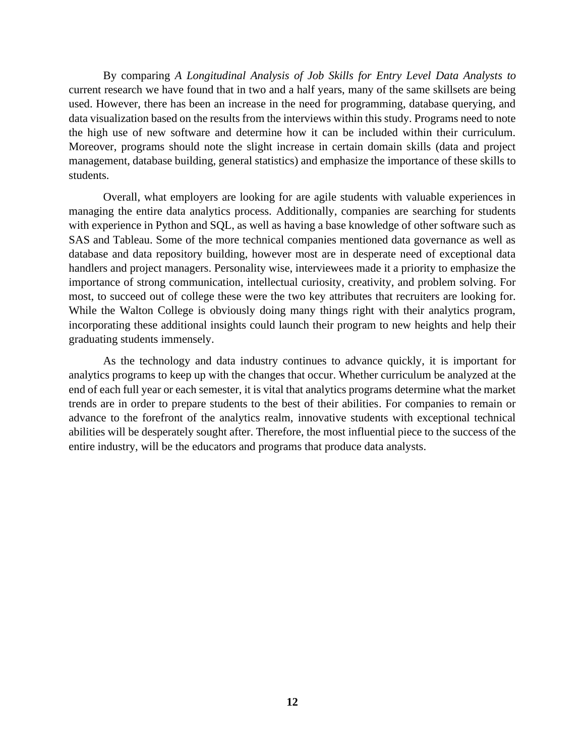By comparing *A Longitudinal Analysis of Job Skills for Entry Level Data Analysts to* current research we have found that in two and a half years, many of the same skillsets are being used. However, there has been an increase in the need for programming, database querying, and data visualization based on the results from the interviews within this study. Programs need to note the high use of new software and determine how it can be included within their curriculum. Moreover, programs should note the slight increase in certain domain skills (data and project management, database building, general statistics) and emphasize the importance of these skills to students.

Overall, what employers are looking for are agile students with valuable experiences in managing the entire data analytics process. Additionally, companies are searching for students with experience in Python and SQL, as well as having a base knowledge of other software such as SAS and Tableau. Some of the more technical companies mentioned data governance as well as database and data repository building, however most are in desperate need of exceptional data handlers and project managers. Personality wise, interviewees made it a priority to emphasize the importance of strong communication, intellectual curiosity, creativity, and problem solving. For most, to succeed out of college these were the two key attributes that recruiters are looking for. While the Walton College is obviously doing many things right with their analytics program, incorporating these additional insights could launch their program to new heights and help their graduating students immensely.

<span id="page-12-1"></span><span id="page-12-0"></span>As the technology and data industry continues to advance quickly, it is important for analytics programs to keep up with the changes that occur. Whether curriculum be analyzed at the end of each full year or each semester, it is vital that analytics programs determine what the market trends are in order to prepare students to the best of their abilities. For companies to remain or advance to the forefront of the analytics realm, innovative students with exceptional technical abilities will be desperately sought after. Therefore, the most influential piece to the success of the entire industry, will be the educators and programs that produce data analysts.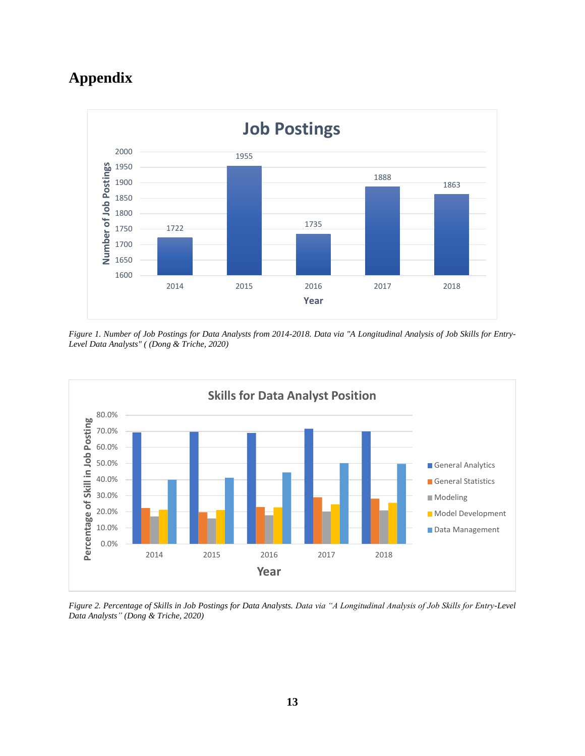# <span id="page-13-0"></span>**Appendix**



*Figure 1. Number of Job Postings for Data Analysts from 2014-2018. Data via "A Longitudinal Analysis of Job Skills for Entry-Level Data Analysts" ( (Dong & Triche, 2020)*



*Figure 2. Percentage of Skills in Job Postings for Data Analysts. Data via "A Longitudinal Analysis of Job Skills for Entry-Level Data Analysts" (Dong & Triche, 2020)*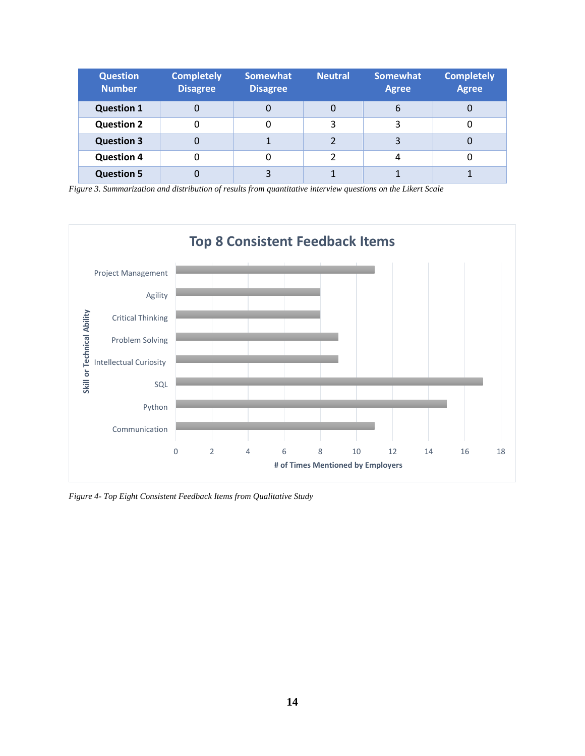| <b>Question</b><br><b>Number</b> | <b>Completely</b><br><b>Disagree</b> | <b>Somewhat</b><br><b>Disagree</b> | <b>Neutral</b> | <b>Somewhat</b><br><b>Agree</b> | <b>Completely</b><br><b>Agree</b> |
|----------------------------------|--------------------------------------|------------------------------------|----------------|---------------------------------|-----------------------------------|
| <b>Question 1</b>                | 0                                    | 0                                  | 0              | 6                               | 0                                 |
| <b>Question 2</b>                | 0                                    |                                    | 3              | 3                               |                                   |
| <b>Question 3</b>                | 0                                    |                                    |                | 3                               | 0                                 |
| <b>Question 4</b>                | 0                                    |                                    | າ              | 4                               | 0                                 |
| <b>Question 5</b>                |                                      | 3                                  |                |                                 |                                   |

*Figure 3. Summarization and distribution of results from quantitative interview questions on the Likert Scale*



*Figure 4- Top Eight Consistent Feedback Items from Qualitative Study*